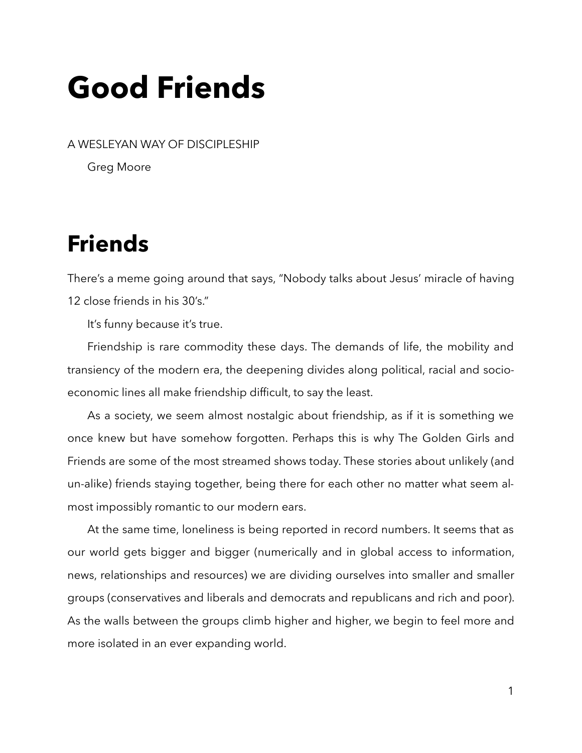# **Good Friends**

A WESLEYAN WAY OF DISCIPLESHIP

Greg Moore

## **Friends**

There's a meme going around that says, "Nobody talks about Jesus' miracle of having 12 close friends in his 30's."

It's funny because it's true.

Friendship is rare commodity these days. The demands of life, the mobility and transiency of the modern era, the deepening divides along political, racial and socioeconomic lines all make friendship difficult, to say the least.

As a society, we seem almost nostalgic about friendship, as if it is something we once knew but have somehow forgotten. Perhaps this is why The Golden Girls and Friends are some of the most streamed shows today. These stories about unlikely (and un-alike) friends staying together, being there for each other no matter what seem almost impossibly romantic to our modern ears.

At the same time, loneliness is being reported in record numbers. It seems that as our world gets bigger and bigger (numerically and in global access to information, news, relationships and resources) we are dividing ourselves into smaller and smaller groups (conservatives and liberals and democrats and republicans and rich and poor). As the walls between the groups climb higher and higher, we begin to feel more and more isolated in an ever expanding world.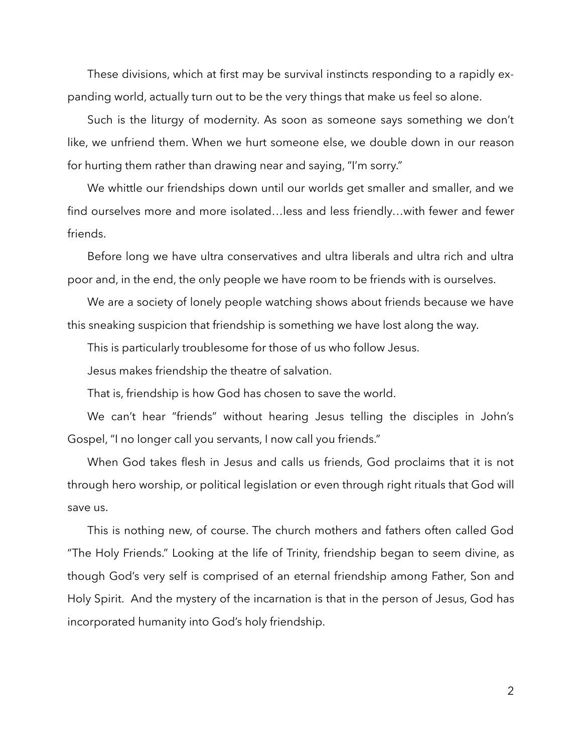These divisions, which at first may be survival instincts responding to a rapidly expanding world, actually turn out to be the very things that make us feel so alone.

Such is the liturgy of modernity. As soon as someone says something we don't like, we unfriend them. When we hurt someone else, we double down in our reason for hurting them rather than drawing near and saying, "I'm sorry."

We whittle our friendships down until our worlds get smaller and smaller, and we find ourselves more and more isolated…less and less friendly…with fewer and fewer friends.

Before long we have ultra conservatives and ultra liberals and ultra rich and ultra poor and, in the end, the only people we have room to be friends with is ourselves.

We are a society of lonely people watching shows about friends because we have this sneaking suspicion that friendship is something we have lost along the way.

This is particularly troublesome for those of us who follow Jesus.

Jesus makes friendship the theatre of salvation.

That is, friendship is how God has chosen to save the world.

We can't hear "friends" without hearing Jesus telling the disciples in John's Gospel, "I no longer call you servants, I now call you friends."

When God takes flesh in Jesus and calls us friends, God proclaims that it is not through hero worship, or political legislation or even through right rituals that God will save us.

This is nothing new, of course. The church mothers and fathers often called God "The Holy Friends." Looking at the life of Trinity, friendship began to seem divine, as though God's very self is comprised of an eternal friendship among Father, Son and Holy Spirit. And the mystery of the incarnation is that in the person of Jesus, God has incorporated humanity into God's holy friendship.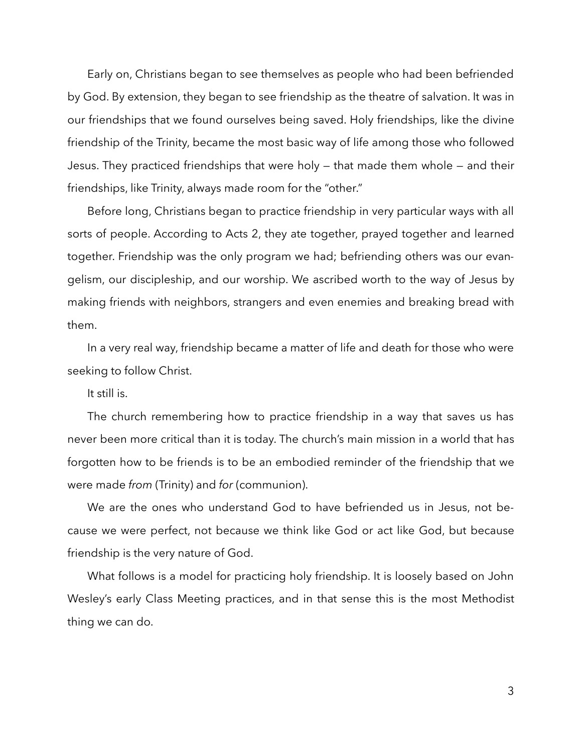Early on, Christians began to see themselves as people who had been befriended by God. By extension, they began to see friendship as the theatre of salvation. It was in our friendships that we found ourselves being saved. Holy friendships, like the divine friendship of the Trinity, became the most basic way of life among those who followed Jesus. They practiced friendships that were holy — that made them whole — and their friendships, like Trinity, always made room for the "other."

Before long, Christians began to practice friendship in very particular ways with all sorts of people. According to Acts 2, they ate together, prayed together and learned together. Friendship was the only program we had; befriending others was our evangelism, our discipleship, and our worship. We ascribed worth to the way of Jesus by making friends with neighbors, strangers and even enemies and breaking bread with them.

In a very real way, friendship became a matter of life and death for those who were seeking to follow Christ.

It still is.

The church remembering how to practice friendship in a way that saves us has never been more critical than it is today. The church's main mission in a world that has forgotten how to be friends is to be an embodied reminder of the friendship that we were made *from* (Trinity) and *for* (communion).

We are the ones who understand God to have befriended us in Jesus, not because we were perfect, not because we think like God or act like God, but because friendship is the very nature of God.

What follows is a model for practicing holy friendship. It is loosely based on John Wesley's early Class Meeting practices, and in that sense this is the most Methodist thing we can do.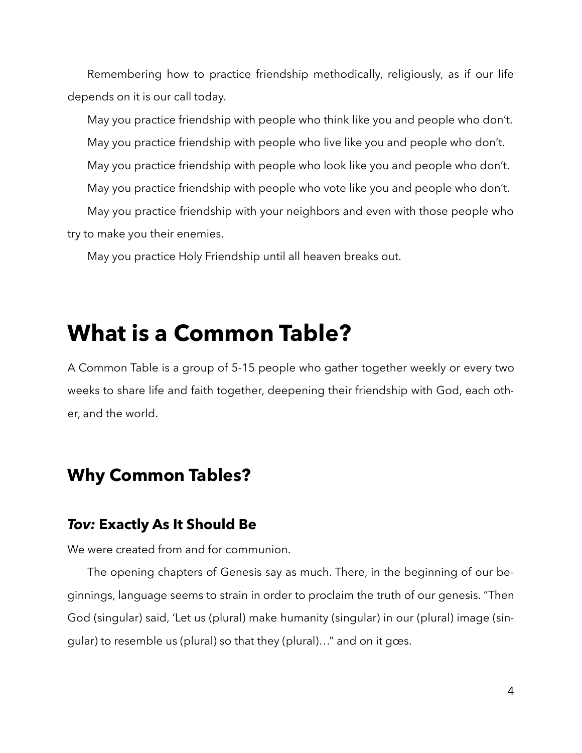Remembering how to practice friendship methodically, religiously, as if our life depends on it is our call today.

May you practice friendship with people who think like you and people who don't. May you practice friendship with people who live like you and people who don't. May you practice friendship with people who look like you and people who don't. May you practice friendship with people who vote like you and people who don't. May you practice friendship with your neighbors and even with those people who try to make you their enemies.

May you practice Holy Friendship until all heaven breaks out.

## **What is a Common Table?**

A Common Table is a group of 5-15 people who gather together weekly or every two weeks to share life and faith together, deepening their friendship with God, each other, and the world.

## **Why Common Tables?**

#### *Tov:* **Exactly As It Should Be**

We were created from and for communion.

The opening chapters of Genesis say as much. There, in the beginning of our beginnings, language seems to strain in order to proclaim the truth of our genesis. "Then God (singular) said, 'Let us (plural) make humanity (singular) in our (plural) image (singular) to resemble us (plural) so that they (plural)…" and on it gœs.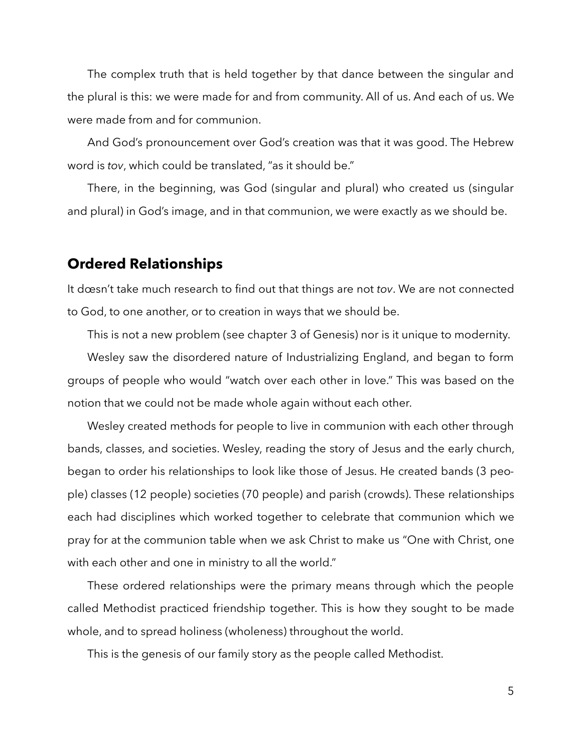The complex truth that is held together by that dance between the singular and the plural is this: we were made for and from community. All of us. And each of us. We were made from and for communion.

And God's pronouncement over God's creation was that it was good. The Hebrew word is *tov*, which could be translated, "as it should be."

There, in the beginning, was God (singular and plural) who created us (singular and plural) in God's image, and in that communion, we were exactly as we should be.

#### **Ordered Relationships**

It dœsn't take much research to find out that things are not *tov*. We are not connected to God, to one another, or to creation in ways that we should be.

This is not a new problem (see chapter 3 of Genesis) nor is it unique to modernity.

Wesley saw the disordered nature of Industrializing England, and began to form groups of people who would "watch over each other in love." This was based on the notion that we could not be made whole again without each other.

Wesley created methods for people to live in communion with each other through bands, classes, and societies. Wesley, reading the story of Jesus and the early church, began to order his relationships to look like those of Jesus. He created bands (3 people) classes (12 people) societies (70 people) and parish (crowds). These relationships each had disciplines which worked together to celebrate that communion which we pray for at the communion table when we ask Christ to make us "One with Christ, one with each other and one in ministry to all the world."

These ordered relationships were the primary means through which the people called Methodist practiced friendship together. This is how they sought to be made whole, and to spread holiness (wholeness) throughout the world.

This is the genesis of our family story as the people called Methodist.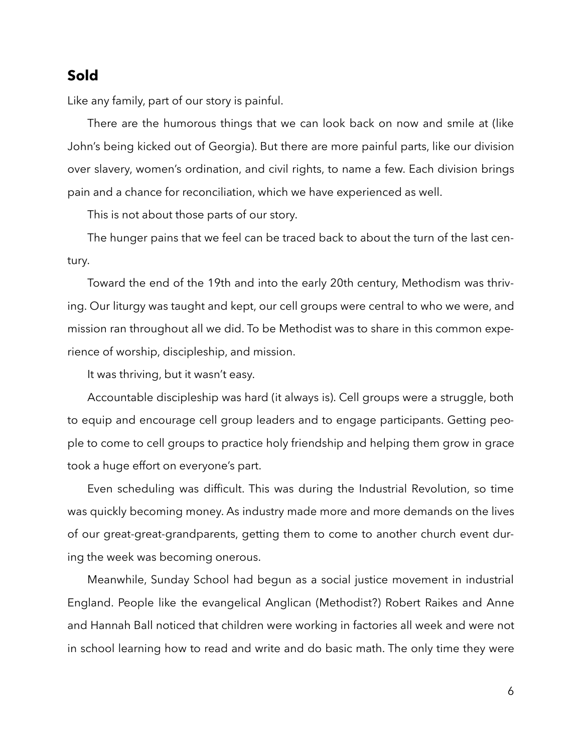#### **Sold**

Like any family, part of our story is painful.

There are the humorous things that we can look back on now and smile at (like John's being kicked out of Georgia). But there are more painful parts, like our division over slavery, women's ordination, and civil rights, to name a few. Each division brings pain and a chance for reconciliation, which we have experienced as well.

This is not about those parts of our story.

The hunger pains that we feel can be traced back to about the turn of the last century.

Toward the end of the 19th and into the early 20th century, Methodism was thriving. Our liturgy was taught and kept, our cell groups were central to who we were, and mission ran throughout all we did. To be Methodist was to share in this common experience of worship, discipleship, and mission.

It was thriving, but it wasn't easy.

Accountable discipleship was hard (it always is). Cell groups were a struggle, both to equip and encourage cell group leaders and to engage participants. Getting people to come to cell groups to practice holy friendship and helping them grow in grace took a huge effort on everyone's part.

Even scheduling was difficult. This was during the Industrial Revolution, so time was quickly becoming money. As industry made more and more demands on the lives of our great-great-grandparents, getting them to come to another church event during the week was becoming onerous.

Meanwhile, Sunday School had begun as a social justice movement in industrial England. People like the evangelical Anglican (Methodist?) Robert Raikes and Anne and Hannah Ball noticed that children were working in factories all week and were not in school learning how to read and write and do basic math. The only time they were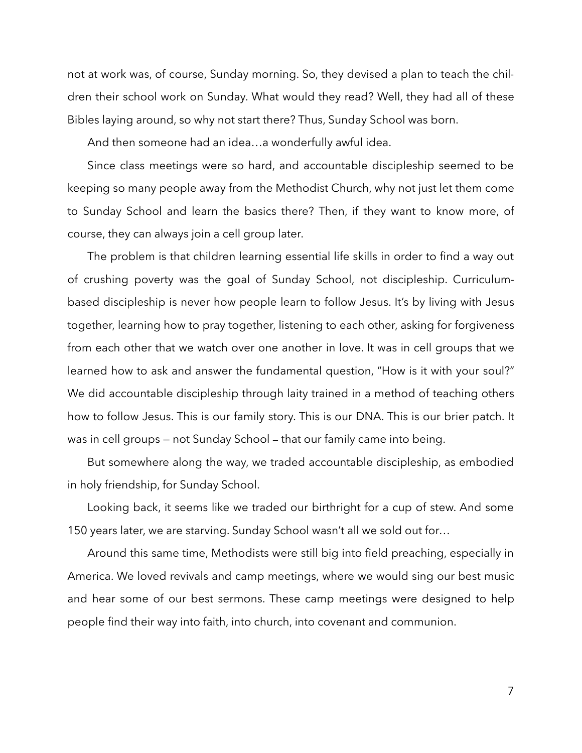not at work was, of course, Sunday morning. So, they devised a plan to teach the children their school work on Sunday. What would they read? Well, they had all of these Bibles laying around, so why not start there? Thus, Sunday School was born.

And then someone had an idea…a wonderfully awful idea.

Since class meetings were so hard, and accountable discipleship seemed to be keeping so many people away from the Methodist Church, why not just let them come to Sunday School and learn the basics there? Then, if they want to know more, of course, they can always join a cell group later.

The problem is that children learning essential life skills in order to find a way out of crushing poverty was the goal of Sunday School, not discipleship. Curriculumbased discipleship is never how people learn to follow Jesus. It's by living with Jesus together, learning how to pray together, listening to each other, asking for forgiveness from each other that we watch over one another in love. It was in cell groups that we learned how to ask and answer the fundamental question, "How is it with your soul?" We did accountable discipleship through laity trained in a method of teaching others how to follow Jesus. This is our family story. This is our DNA. This is our brier patch. It was in cell groups — not Sunday School — that our family came into being.

But somewhere along the way, we traded accountable discipleship, as embodied in holy friendship, for Sunday School.

Looking back, it seems like we traded our birthright for a cup of stew. And some 150 years later, we are starving. Sunday School wasn't all we sold out for…

Around this same time, Methodists were still big into field preaching, especially in America. We loved revivals and camp meetings, where we would sing our best music and hear some of our best sermons. These camp meetings were designed to help people find their way into faith, into church, into covenant and communion.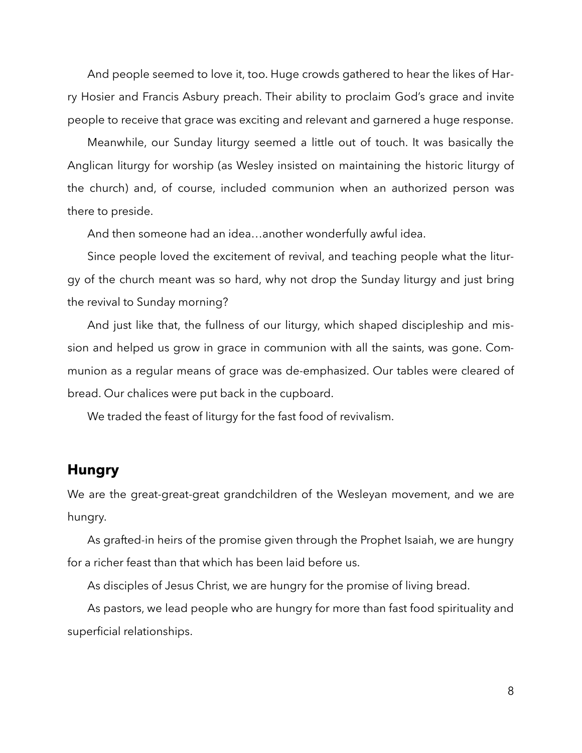And people seemed to love it, too. Huge crowds gathered to hear the likes of Harry Hosier and Francis Asbury preach. Their ability to proclaim God's grace and invite people to receive that grace was exciting and relevant and garnered a huge response.

Meanwhile, our Sunday liturgy seemed a little out of touch. It was basically the Anglican liturgy for worship (as Wesley insisted on maintaining the historic liturgy of the church) and, of course, included communion when an authorized person was there to preside.

And then someone had an idea…another wonderfully awful idea.

Since people loved the excitement of revival, and teaching people what the liturgy of the church meant was so hard, why not drop the Sunday liturgy and just bring the revival to Sunday morning?

And just like that, the fullness of our liturgy, which shaped discipleship and mission and helped us grow in grace in communion with all the saints, was gone. Communion as a regular means of grace was de-emphasized. Our tables were cleared of bread. Our chalices were put back in the cupboard.

We traded the feast of liturgy for the fast food of revivalism.

#### **Hungry**

We are the great-great-great grandchildren of the Wesleyan movement, and we are hungry.

As grafted-in heirs of the promise given through the Prophet Isaiah, we are hungry for a richer feast than that which has been laid before us.

As disciples of Jesus Christ, we are hungry for the promise of living bread.

As pastors, we lead people who are hungry for more than fast food spirituality and superficial relationships.

8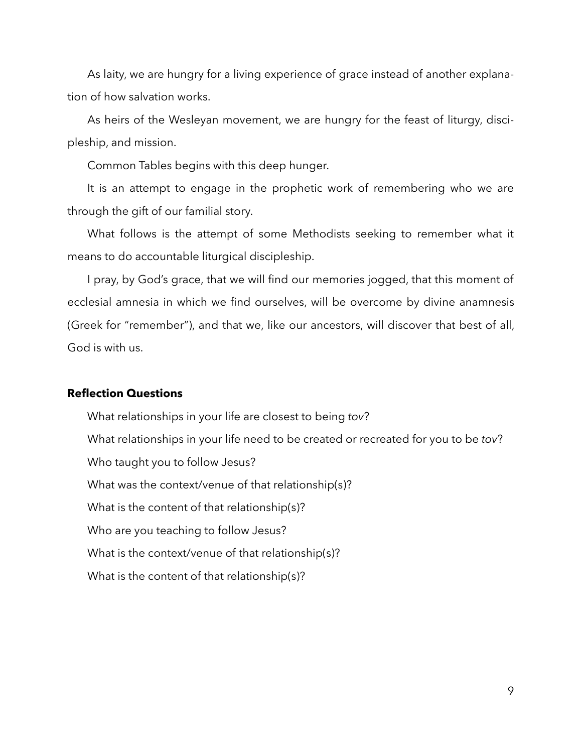As laity, we are hungry for a living experience of grace instead of another explanation of how salvation works.

As heirs of the Wesleyan movement, we are hungry for the feast of liturgy, discipleship, and mission.

Common Tables begins with this deep hunger.

It is an attempt to engage in the prophetic work of remembering who we are through the gift of our familial story.

What follows is the attempt of some Methodists seeking to remember what it means to do accountable liturgical discipleship.

I pray, by God's grace, that we will find our memories jogged, that this moment of ecclesial amnesia in which we find ourselves, will be overcome by divine anamnesis (Greek for "remember"), and that we, like our ancestors, will discover that best of all, God is with us.

#### **Reflection Questions**

 What relationships in your life are closest to being *tov*? What relationships in your life need to be created or recreated for you to be *tov*? Who taught you to follow Jesus? What was the context/venue of that relationship(s)? What is the content of that relationship(s)? Who are you teaching to follow Jesus? What is the context/venue of that relationship(s)? What is the content of that relationship(s)?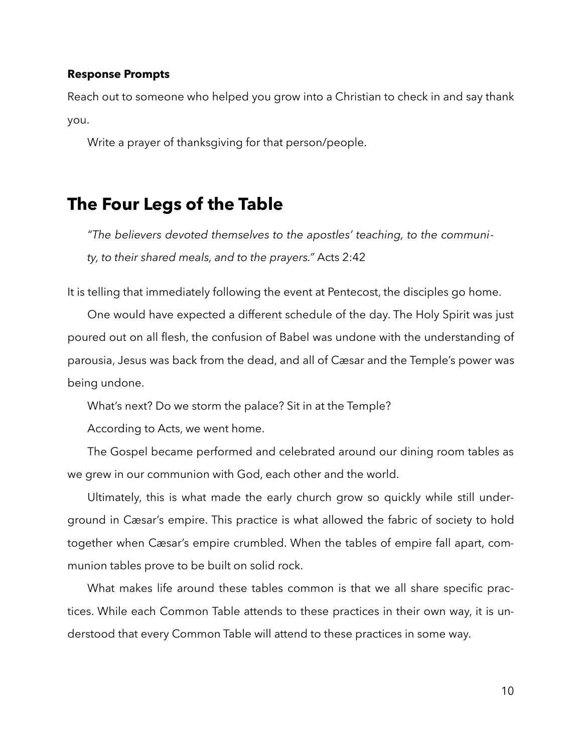#### **Response Prompts**

Reach out to someone who helped you grow into a Christian to check in and say thank you.

Write a prayer of thanksgiving for that person/people.

## **The Four Legs of the Table**

*"The believers devoted themselves to the apostles' teaching, to the community, to their shared meals, and to the prayers."* Acts 2:42

It is telling that immediately following the event at Pentecost, the disciples go home.

One would have expected a different schedule of the day. The Holy Spirit was just poured out on all flesh, the confusion of Babel was undone with the understanding of parousia, Jesus was back from the dead, and all of Cæsar and the Temple's power was being undone.

What's next? Do we storm the palace? Sit in at the Temple?

According to Acts, we went home.

The Gospel became performed and celebrated around our dining room tables as we grew in our communion with God, each other and the world.

Ultimately, this is what made the early church grow so quickly while still underground in Cæsar's empire. This practice is what allowed the fabric of society to hold together when Cæsar's empire crumbled. When the tables of empire fall apart, communion tables prove to be built on solid rock.

What makes life around these tables common is that we all share specific practices. While each Common Table attends to these practices in their own way, it is understood that every Common Table will attend to these practices in some way.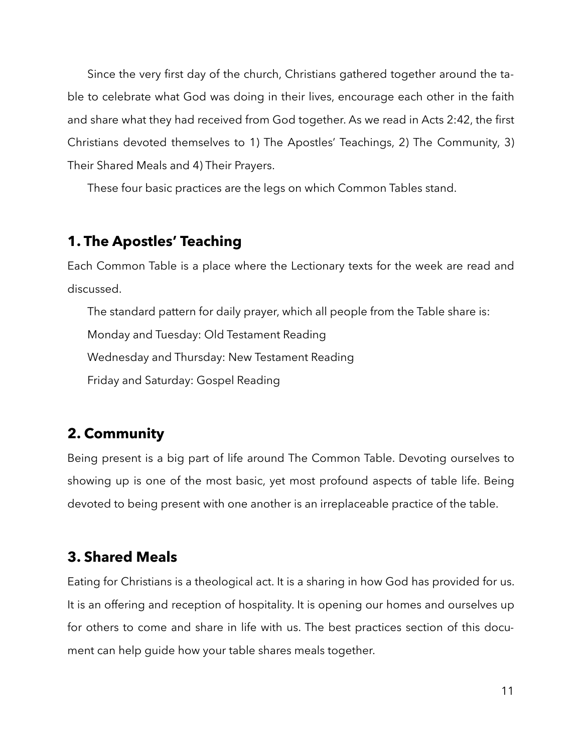Since the very first day of the church, Christians gathered together around the table to celebrate what God was doing in their lives, encourage each other in the faith and share what they had received from God together. As we read in Acts 2:42, the first Christians devoted themselves to 1) The Apostles' Teachings, 2) The Community, 3) Their Shared Meals and 4) Their Prayers.

These four basic practices are the legs on which Common Tables stand.

#### **1. The Apostles' Teaching**

Each Common Table is a place where the Lectionary texts for the week are read and discussed.

The standard pattern for daily prayer, which all people from the Table share is: Monday and Tuesday: Old Testament Reading Wednesday and Thursday: New Testament Reading Friday and Saturday: Gospel Reading

## **2. Community**

Being present is a big part of life around The Common Table. Devoting ourselves to showing up is one of the most basic, yet most profound aspects of table life. Being devoted to being present with one another is an irreplaceable practice of the table.

### **3. Shared Meals**

Eating for Christians is a theological act. It is a sharing in how God has provided for us. It is an offering and reception of hospitality. It is opening our homes and ourselves up for others to come and share in life with us. The best practices section of this document can help guide how your table shares meals together.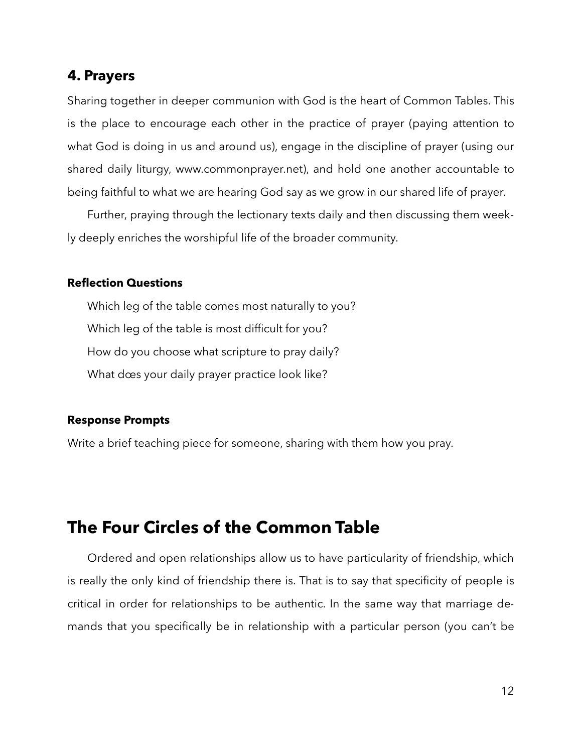#### **4. Prayers**

Sharing together in deeper communion with God is the heart of Common Tables. This is the place to encourage each other in the practice of prayer (paying attention to what God is doing in us and around us), engage in the discipline of prayer (using our shared daily liturgy, www.commonprayer.net), and hold one another accountable to being faithful to what we are hearing God say as we grow in our shared life of prayer.

Further, praying through the lectionary texts daily and then discussing them weekly deeply enriches the worshipful life of the broader community.

#### **Reflection Questions**

 Which leg of the table comes most naturally to you? Which leg of the table is most difficult for you? How do you choose what scripture to pray daily? What dœs your daily prayer practice look like?

#### **Response Prompts**

Write a brief teaching piece for someone, sharing with them how you pray.

## **The Four Circles of the Common Table**

Ordered and open relationships allow us to have particularity of friendship, which is really the only kind of friendship there is. That is to say that specificity of people is critical in order for relationships to be authentic. In the same way that marriage demands that you specifically be in relationship with a particular person (you can't be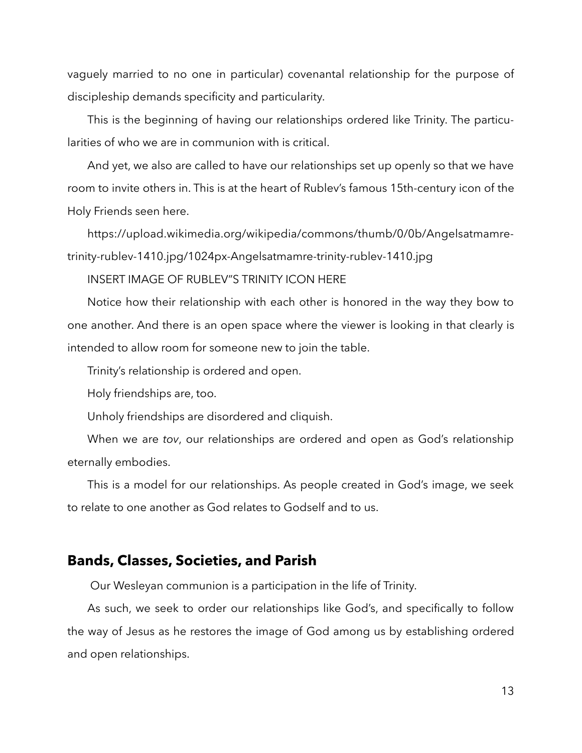vaguely married to no one in particular) covenantal relationship for the purpose of discipleship demands specificity and particularity.

This is the beginning of having our relationships ordered like Trinity. The particularities of who we are in communion with is critical.

And yet, we also are called to have our relationships set up openly so that we have room to invite others in. This is at the heart of Rublev's famous 15th-century icon of the Holy Friends seen here.

https://upload.wikimedia.org/wikipedia/commons/thumb/0/0b/Angelsatmamretrinity-rublev-1410.jpg/1024px-Angelsatmamre-trinity-rublev-1410.jpg

INSERT IMAGE OF RUBLEV"S TRINITY ICON HERE

Notice how their relationship with each other is honored in the way they bow to one another. And there is an open space where the viewer is looking in that clearly is intended to allow room for someone new to join the table.

Trinity's relationship is ordered and open.

Holy friendships are, too.

Unholy friendships are disordered and cliquish.

When we are *tov*, our relationships are ordered and open as God's relationship eternally embodies.

This is a model for our relationships. As people created in God's image, we seek to relate to one another as God relates to Godself and to us.

#### **Bands, Classes, Societies, and Parish**

Our Wesleyan communion is a participation in the life of Trinity.

As such, we seek to order our relationships like God's, and specifically to follow the way of Jesus as he restores the image of God among us by establishing ordered and open relationships.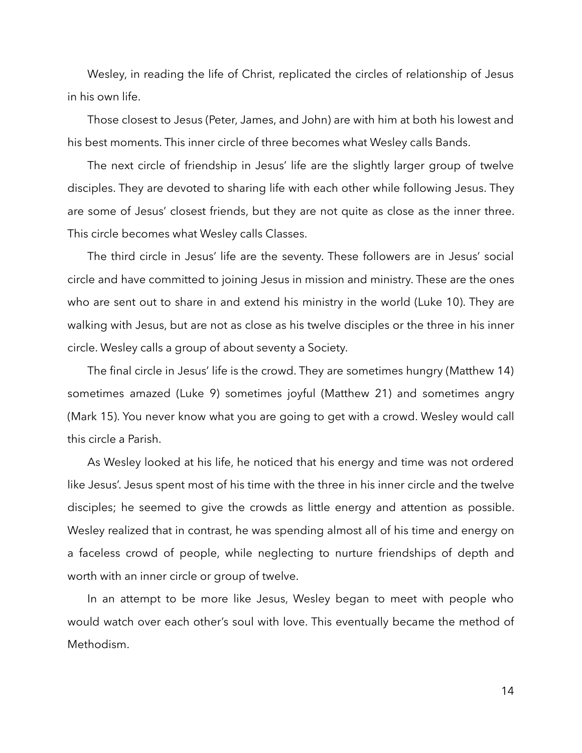Wesley, in reading the life of Christ, replicated the circles of relationship of Jesus in his own life.

Those closest to Jesus (Peter, James, and John) are with him at both his lowest and his best moments. This inner circle of three becomes what Wesley calls Bands.

The next circle of friendship in Jesus' life are the slightly larger group of twelve disciples. They are devoted to sharing life with each other while following Jesus. They are some of Jesus' closest friends, but they are not quite as close as the inner three. This circle becomes what Wesley calls Classes.

The third circle in Jesus' life are the seventy. These followers are in Jesus' social circle and have committed to joining Jesus in mission and ministry. These are the ones who are sent out to share in and extend his ministry in the world (Luke 10). They are walking with Jesus, but are not as close as his twelve disciples or the three in his inner circle. Wesley calls a group of about seventy a Society.

The final circle in Jesus' life is the crowd. They are sometimes hungry (Matthew 14) sometimes amazed (Luke 9) sometimes joyful (Matthew 21) and sometimes angry (Mark 15). You never know what you are going to get with a crowd. Wesley would call this circle a Parish.

As Wesley looked at his life, he noticed that his energy and time was not ordered like Jesus'. Jesus spent most of his time with the three in his inner circle and the twelve disciples; he seemed to give the crowds as little energy and attention as possible. Wesley realized that in contrast, he was spending almost all of his time and energy on a faceless crowd of people, while neglecting to nurture friendships of depth and worth with an inner circle or group of twelve.

In an attempt to be more like Jesus, Wesley began to meet with people who would watch over each other's soul with love. This eventually became the method of Methodism.

14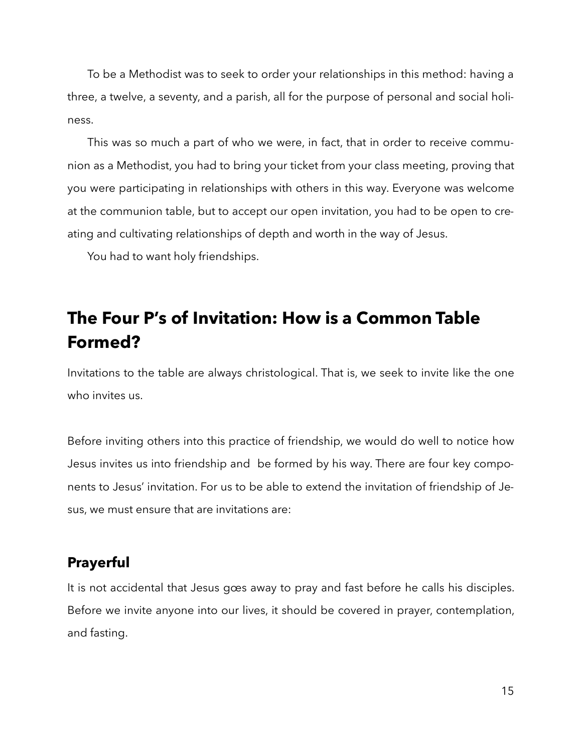To be a Methodist was to seek to order your relationships in this method: having a three, a twelve, a seventy, and a parish, all for the purpose of personal and social holiness.

This was so much a part of who we were, in fact, that in order to receive communion as a Methodist, you had to bring your ticket from your class meeting, proving that you were participating in relationships with others in this way. Everyone was welcome at the communion table, but to accept our open invitation, you had to be open to creating and cultivating relationships of depth and worth in the way of Jesus.

You had to want holy friendships.

## **The Four P's of Invitation: How is a Common Table Formed?**

Invitations to the table are always christological. That is, we seek to invite like the one who invites us.

Before inviting others into this practice of friendship, we would do well to notice how Jesus invites us into friendship and be formed by his way. There are four key components to Jesus' invitation. For us to be able to extend the invitation of friendship of Jesus, we must ensure that are invitations are:

### **Prayerful**

It is not accidental that Jesus gœs away to pray and fast before he calls his disciples. Before we invite anyone into our lives, it should be covered in prayer, contemplation, and fasting.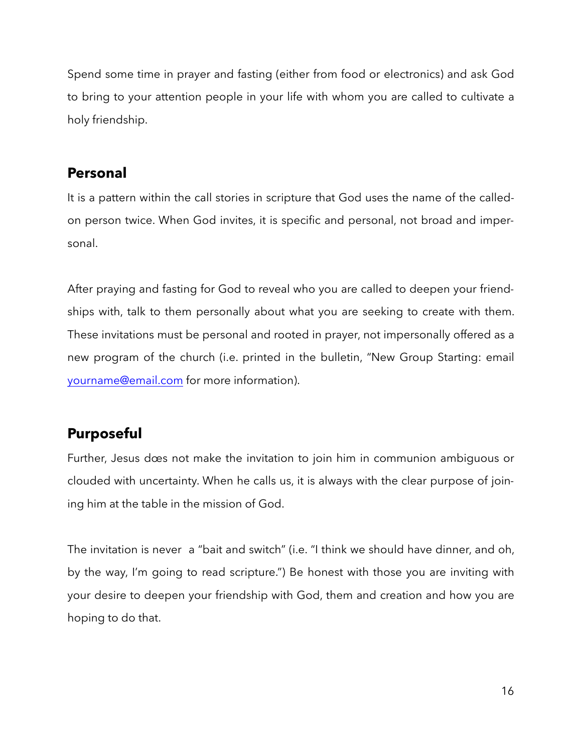Spend some time in prayer and fasting (either from food or electronics) and ask God to bring to your attention people in your life with whom you are called to cultivate a holy friendship.

## **Personal**

It is a pattern within the call stories in scripture that God uses the name of the calledon person twice. When God invites, it is specific and personal, not broad and impersonal.

After praying and fasting for God to reveal who you are called to deepen your friendships with, talk to them personally about what you are seeking to create with them. These invitations must be personal and rooted in prayer, not impersonally offered as a new program of the church (i.e. printed in the bulletin, "New Group Starting: email [yourname@email.com](mailto:yourname@email.com) for more information).

## **Purposeful**

Further, Jesus dœs not make the invitation to join him in communion ambiguous or clouded with uncertainty. When he calls us, it is always with the clear purpose of joining him at the table in the mission of God.

The invitation is never a "bait and switch" (i.e. "I think we should have dinner, and oh, by the way, I'm going to read scripture.") Be honest with those you are inviting with your desire to deepen your friendship with God, them and creation and how you are hoping to do that.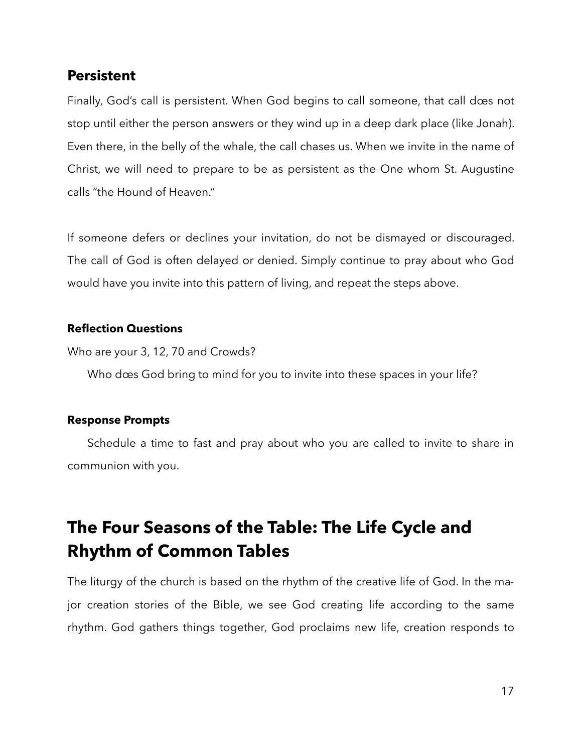#### **Persistent**

Finally, God's call is persistent. When God begins to call someone, that call dœs not stop until either the person answers or they wind up in a deep dark place (like Jonah). Even there, in the belly of the whale, the call chases us. When we invite in the name of Christ, we will need to prepare to be as persistent as the One whom St. Augustine calls "the Hound of Heaven."

If someone defers or declines your invitation, do not be dismayed or discouraged. The call of God is often delayed or denied. Simply continue to pray about who God would have you invite into this pattern of living, and repeat the steps above.

#### **Reflection Questions**

Who are your 3, 12, 70 and Crowds?

Who dœs God bring to mind for you to invite into these spaces in your life?

#### **Response Prompts**

Schedule a time to fast and pray about who you are called to invite to share in communion with you.

## **The Four Seasons of the Table: The Life Cycle and Rhythm of Common Tables**

The liturgy of the church is based on the rhythm of the creative life of God. In the major creation stories of the Bible, we see God creating life according to the same rhythm. God gathers things together, God proclaims new life, creation responds to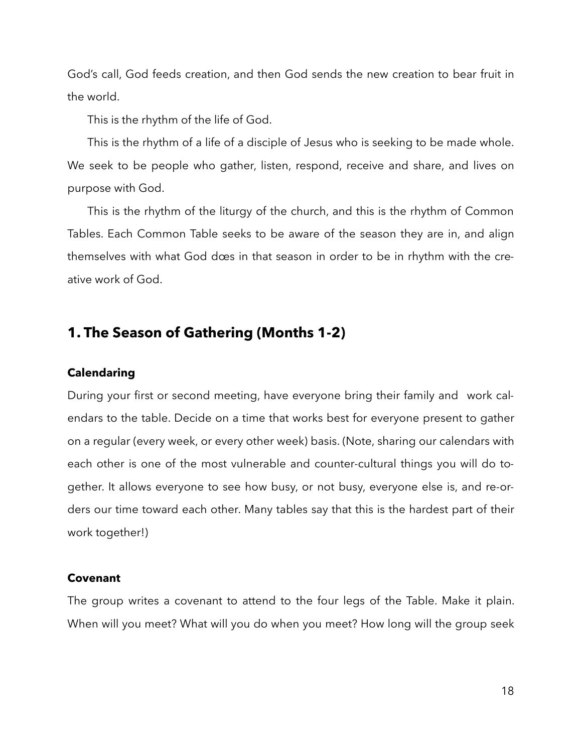God's call, God feeds creation, and then God sends the new creation to bear fruit in the world.

This is the rhythm of the life of God.

This is the rhythm of a life of a disciple of Jesus who is seeking to be made whole. We seek to be people who gather, listen, respond, receive and share, and lives on purpose with God.

This is the rhythm of the liturgy of the church, and this is the rhythm of Common Tables. Each Common Table seeks to be aware of the season they are in, and align themselves with what God dœs in that season in order to be in rhythm with the creative work of God.

#### **1. The Season of Gathering (Months 1-2)**

#### **Calendaring**

During your first or second meeting, have everyone bring their family and work calendars to the table. Decide on a time that works best for everyone present to gather on a regular (every week, or every other week) basis. (Note, sharing our calendars with each other is one of the most vulnerable and counter-cultural things you will do together. It allows everyone to see how busy, or not busy, everyone else is, and re-orders our time toward each other. Many tables say that this is the hardest part of their work together!)

#### **Covenant**

The group writes a covenant to attend to the four legs of the Table. Make it plain. When will you meet? What will you do when you meet? How long will the group seek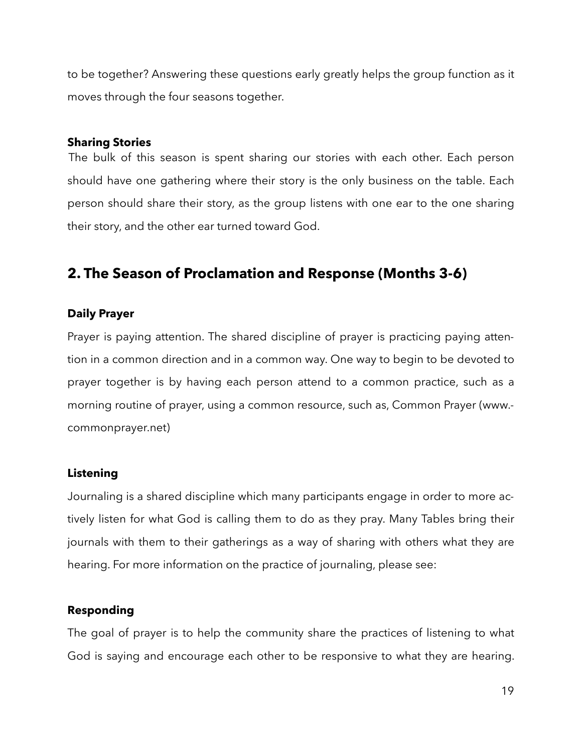to be together? Answering these questions early greatly helps the group function as it moves through the four seasons together.

#### **Sharing Stories**

The bulk of this season is spent sharing our stories with each other. Each person should have one gathering where their story is the only business on the table. Each person should share their story, as the group listens with one ear to the one sharing their story, and the other ear turned toward God.

## **2. The Season of Proclamation and Response (Months 3-6)**

#### **Daily Prayer**

Prayer is paying attention. The shared discipline of prayer is practicing paying attention in a common direction and in a common way. One way to begin to be devoted to prayer together is by having each person attend to a common practice, such as a morning routine of prayer, using a common resource, such as, Common Prayer (www. commonprayer.net)

#### **Listening**

Journaling is a shared discipline which many participants engage in order to more actively listen for what God is calling them to do as they pray. Many Tables bring their journals with them to their gatherings as a way of sharing with others what they are hearing. For more information on the practice of journaling, please see:

#### **Responding**

The goal of prayer is to help the community share the practices of listening to what God is saying and encourage each other to be responsive to what they are hearing.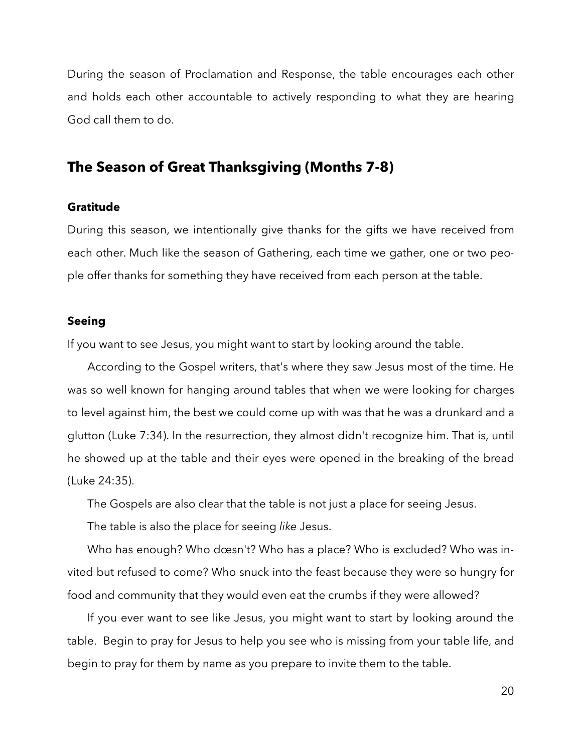During the season of Proclamation and Response, the table encourages each other and holds each other accountable to actively responding to what they are hearing God call them to do.

#### **The Season of Great Thanksgiving (Months 7-8)**

#### **Gratitude**

During this season, we intentionally give thanks for the gifts we have received from each other. Much like the season of Gathering, each time we gather, one or two people offer thanks for something they have received from each person at the table.

#### **Seeing**

If you want to see Jesus, you might want to start by looking around the table.

According to the Gospel writers, that's where they saw Jesus most of the time. He was so well known for hanging around tables that when we were looking for charges to level against him, the best we could come up with was that he was a drunkard and a glutton (Luke 7:34). In the resurrection, they almost didn't recognize him. That is, until he showed up at the table and their eyes were opened in the breaking of the bread (Luke 24:35).

The Gospels are also clear that the table is not just a place for seeing Jesus.

The table is also the place for seeing *like* Jesus.

Who has enough? Who dœsn't? Who has a place? Who is excluded? Who was invited but refused to come? Who snuck into the feast because they were so hungry for food and community that they would even eat the crumbs if they were allowed?

If you ever want to see like Jesus, you might want to start by looking around the table. Begin to pray for Jesus to help you see who is missing from your table life, and begin to pray for them by name as you prepare to invite them to the table.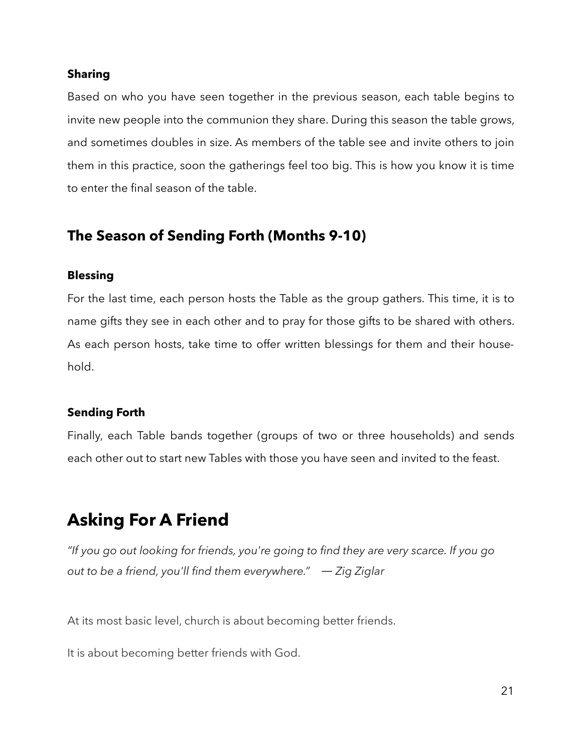#### **Sharing**

Based on who you have seen together in the previous season, each table begins to invite new people into the communion they share. During this season the table grows, and sometimes doubles in size. As members of the table see and invite others to join them in this practice, soon the gatherings feel too big. This is how you know it is time to enter the final season of the table.

## **The Season of Sending Forth (Months 9-10)**

#### **Blessing**

For the last time, each person hosts the Table as the group gathers. This time, it is to name gifts they see in each other and to pray for those gifts to be shared with others. As each person hosts, take time to offer written blessings for them and their household.

#### **Sending Forth**

Finally, each Table bands together (groups of two or three households) and sends each other out to start new Tables with those you have seen and invited to the feast.

## **Asking For A Friend**

*"If you go out looking for friends, you're going to find they are very scarce. If you go out to be a friend, you'll find them everywhere."* ― *Zig Ziglar* 

At its most basic level, church is about becoming better friends.

It is about becoming better friends with God.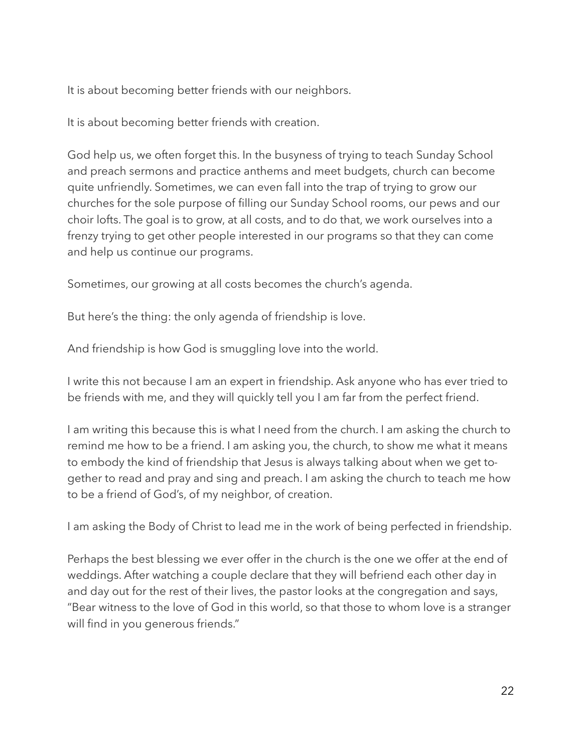It is about becoming better friends with our neighbors.

It is about becoming better friends with creation.

God help us, we often forget this. In the busyness of trying to teach Sunday School and preach sermons and practice anthems and meet budgets, church can become quite unfriendly. Sometimes, we can even fall into the trap of trying to grow our churches for the sole purpose of filling our Sunday School rooms, our pews and our choir lofts. The goal is to grow, at all costs, and to do that, we work ourselves into a frenzy trying to get other people interested in our programs so that they can come and help us continue our programs.

Sometimes, our growing at all costs becomes the church's agenda.

But here's the thing: the only agenda of friendship is love.

And friendship is how God is smuggling love into the world.

I write this not because I am an expert in friendship. Ask anyone who has ever tried to be friends with me, and they will quickly tell you I am far from the perfect friend.

I am writing this because this is what I need from the church. I am asking the church to remind me how to be a friend. I am asking you, the church, to show me what it means to embody the kind of friendship that Jesus is always talking about when we get together to read and pray and sing and preach. I am asking the church to teach me how to be a friend of God's, of my neighbor, of creation.

I am asking the Body of Christ to lead me in the work of being perfected in friendship.

Perhaps the best blessing we ever offer in the church is the one we offer at the end of weddings. After watching a couple declare that they will befriend each other day in and day out for the rest of their lives, the pastor looks at the congregation and says, "Bear witness to the love of God in this world, so that those to whom love is a stranger will find in you generous friends."